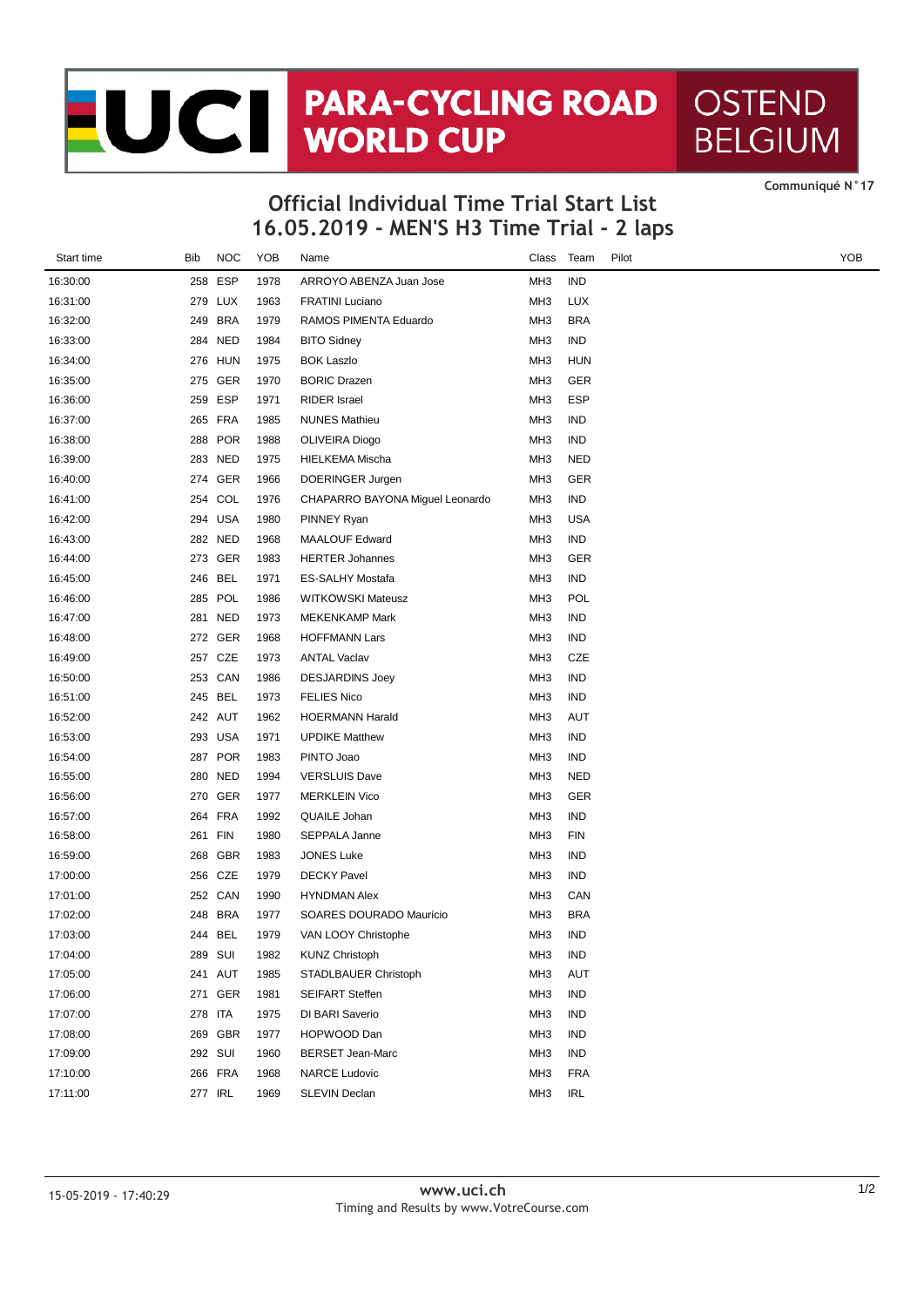## JC PARA-CYCLING ROAD **OSTEND BELGIUM**

**CommuniquÈ N°17**

## **16.05.2019 - MEN'S H3 Time Trial - 2 laps Official Individual Time Trial Start List**

| Start time | Bib | <b>NOC</b> | YOB  | Name                            | Class           | Team       | Pilot | YOB |
|------------|-----|------------|------|---------------------------------|-----------------|------------|-------|-----|
| 16:30:00   |     | 258 ESP    | 1978 | ARROYO ABENZA Juan Jose         | MH <sub>3</sub> | <b>IND</b> |       |     |
| 16:31:00   |     | 279 LUX    | 1963 | <b>FRATINI Luciano</b>          | MH <sub>3</sub> | <b>LUX</b> |       |     |
| 16:32:00   |     | 249 BRA    | 1979 | RAMOS PIMENTA Eduardo           | MH <sub>3</sub> | <b>BRA</b> |       |     |
| 16:33:00   |     | 284 NED    | 1984 | <b>BITO Sidney</b>              | MH <sub>3</sub> | IND        |       |     |
| 16:34:00   |     | 276 HUN    | 1975 | <b>BOK Laszlo</b>               | MH <sub>3</sub> | <b>HUN</b> |       |     |
| 16:35:00   |     | 275 GER    | 1970 | <b>BORIC Drazen</b>             | MH <sub>3</sub> | GER        |       |     |
| 16:36:00   |     | 259 ESP    | 1971 | <b>RIDER</b> Israel             | MH <sub>3</sub> | ESP        |       |     |
| 16:37:00   |     | 265 FRA    | 1985 | <b>NUNES Mathieu</b>            | MH <sub>3</sub> | IND        |       |     |
| 16:38:00   | 288 | <b>POR</b> | 1988 | OLIVEIRA Diogo                  | MH <sub>3</sub> | IND        |       |     |
| 16:39:00   |     | 283 NED    | 1975 | <b>HIELKEMA Mischa</b>          | MH <sub>3</sub> | <b>NED</b> |       |     |
| 16:40:00   |     | 274 GER    | 1966 | DOERINGER Jurgen                | MH <sub>3</sub> | GER        |       |     |
| 16:41:00   | 254 | COL        | 1976 | CHAPARRO BAYONA Miguel Leonardo | MH <sub>3</sub> | <b>IND</b> |       |     |
| 16:42:00   |     | 294 USA    | 1980 | PINNEY Ryan                     | MH <sub>3</sub> | <b>USA</b> |       |     |
| 16:43:00   |     | 282 NED    | 1968 | <b>MAALOUF Edward</b>           | MH <sub>3</sub> | IND        |       |     |
| 16:44:00   |     | 273 GER    | 1983 | <b>HERTER Johannes</b>          | MH <sub>3</sub> | GER        |       |     |
| 16:45:00   |     | 246 BEL    | 1971 | <b>ES-SALHY Mostafa</b>         | MH <sub>3</sub> | IND        |       |     |
| 16:46:00   |     | 285 POL    | 1986 | <b>WITKOWSKI Mateusz</b>        | MH <sub>3</sub> | POL        |       |     |
| 16:47:00   |     | 281 NED    | 1973 | <b>MEKENKAMP Mark</b>           | MH <sub>3</sub> | <b>IND</b> |       |     |
| 16:48:00   |     | 272 GER    | 1968 | <b>HOFFMANN Lars</b>            | MH <sub>3</sub> | IND        |       |     |
| 16:49:00   |     | 257 CZE    | 1973 | <b>ANTAL Vaclav</b>             | MH <sub>3</sub> | CZE        |       |     |
| 16:50:00   |     | 253 CAN    | 1986 | <b>DESJARDINS Joey</b>          | MH <sub>3</sub> | IND        |       |     |
| 16:51:00   |     | 245 BEL    | 1973 | <b>FELIES Nico</b>              | MH <sub>3</sub> | IND        |       |     |
| 16:52:00   |     | 242 AUT    | 1962 | <b>HOERMANN Harald</b>          | MH <sub>3</sub> | AUT        |       |     |
| 16:53:00   |     | 293 USA    | 1971 | <b>UPDIKE Matthew</b>           | MH <sub>3</sub> | IND        |       |     |
| 16:54:00   |     | 287 POR    | 1983 | PINTO Joao                      | MH <sub>3</sub> | IND        |       |     |
| 16:55:00   |     | 280 NED    | 1994 | <b>VERSLUIS Dave</b>            | MH <sub>3</sub> | <b>NED</b> |       |     |
| 16:56:00   |     | 270 GER    | 1977 | <b>MERKLEIN Vico</b>            | MH <sub>3</sub> | GER        |       |     |
| 16:57:00   |     | 264 FRA    | 1992 | QUAILE Johan                    | MH <sub>3</sub> | IND        |       |     |
| 16:58:00   | 261 | <b>FIN</b> | 1980 | SEPPALA Janne                   | MH <sub>3</sub> | <b>FIN</b> |       |     |
| 16:59:00   |     | 268 GBR    | 1983 | <b>JONES Luke</b>               | MH <sub>3</sub> | <b>IND</b> |       |     |
| 17:00:00   |     | 256 CZE    | 1979 | <b>DECKY Pavel</b>              | MH <sub>3</sub> | IND        |       |     |
| 17:01:00   |     | 252 CAN    | 1990 | <b>HYNDMAN Alex</b>             | MH <sub>3</sub> | CAN        |       |     |
| 17:02:00   | 248 | <b>BRA</b> | 1977 | SOARES DOURADO Maurício         | MH <sub>3</sub> | <b>BRA</b> |       |     |
| 17:03:00   |     | 244 BEL    | 1979 | VAN LOOY Christophe             | MH <sub>3</sub> | IND        |       |     |
| 17:04:00   |     | 289 SUI    | 1982 | <b>KUNZ Christoph</b>           | MH <sub>3</sub> | <b>IND</b> |       |     |
| 17:05:00   |     | 241 AUT    | 1985 | STADLBAUER Christoph            | MH <sub>3</sub> | AUT        |       |     |
| 17:06:00   |     | 271 GER    | 1981 | <b>SEIFART Steffen</b>          | MH <sub>3</sub> | IND        |       |     |
| 17:07:00   |     | 278 ITA    | 1975 | DI BARI Saverio                 | MH <sub>3</sub> | <b>IND</b> |       |     |
| 17:08:00   |     | 269 GBR    | 1977 | HOPWOOD Dan                     | MH <sub>3</sub> | <b>IND</b> |       |     |
| 17:09:00   |     | 292 SUI    | 1960 | <b>BERSET Jean-Marc</b>         | MH3             | <b>IND</b> |       |     |
| 17:10:00   |     | 266 FRA    | 1968 | <b>NARCE Ludovic</b>            | MH <sub>3</sub> | <b>FRA</b> |       |     |
| 17:11:00   |     | 277 IRL    | 1969 | SLEVIN Declan                   | MH <sub>3</sub> | IRL        |       |     |
|            |     |            |      |                                 |                 |            |       |     |